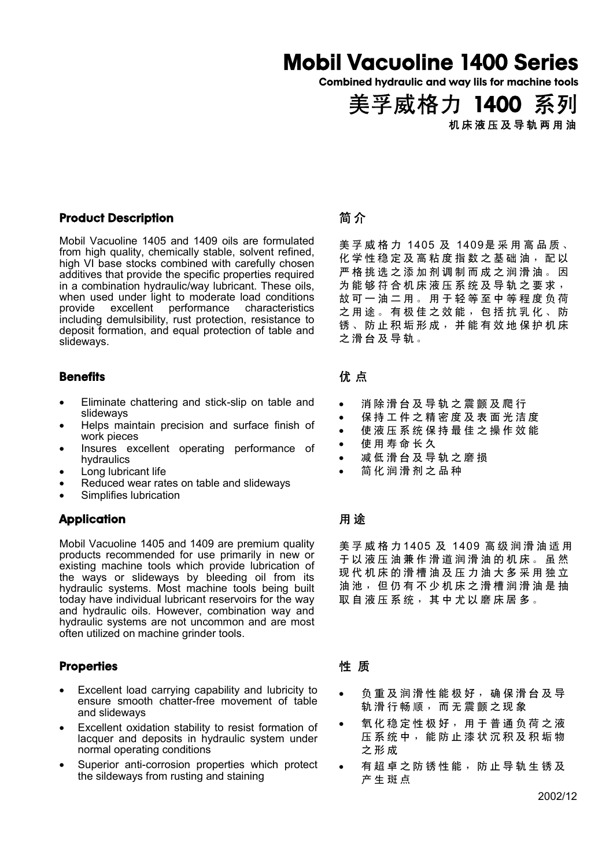## Mobil Vacuoline 1400 Series

Combined hydraulic and way lils for machine tools

美孚威格力 1400 系列 机床液压及导轨两用油

#### Product Description

Mobil Vacuoline 1405 and 1409 oils are formulated from high quality, chemically stable, solvent refined, high VI base stocks combined with carefully chosen additives that provide the specific properties required in a combination hydraulic/way lubricant. These oils, when used under light to moderate load conditions provide excellent performance characteristics including demulsibility, rust protection, resistance to deposit formation, and equal protection of table and slideways.

#### **Benefits**

- Eliminate chattering and stick-slip on table and slideways
- Helps maintain precision and surface finish of work pieces
- Insures excellent operating performance of hydraulics
- Long lubricant life
- Reduced wear rates on table and slideways
- Simplifies lubrication

## **Application**

Mobil Vacuoline 1405 and 1409 are premium quality products recommended for use primarily in new or existing machine tools which provide lubrication of the ways or slideways by bleeding oil from its hydraulic systems. Most machine tools being built today have individual lubricant reservoirs for the way and hydraulic oils. However, combination way and hydraulic systems are not uncommon and are most often utilized on machine grinder tools.

#### **Properties**

- Excellent load carrying capability and lubricity to ensure smooth chatter-free movement of table and slideways
- Excellent oxidation stability to resist formation of lacquer and deposits in hydraulic system under normal operating conditions
- Superior anti-corrosion properties which protect the sildeways from rusting and staining

## 简 介

美孚威格力 1405 及 1409是采用高品质、 化学性稳定及高粘度指数之基础油,配以 严格挑选之添加剂调制而成之润滑油。因 为能够符合机床液压系统及导轨之要求, 故可一油二用。用于轻等至中等程度负荷 之用途。有极佳之效能,包括抗乳化、防 锈、防止积垢形成,并能有效地保护机床 之滑台及导轨。

## 优 点

- 消除滑台及导轨之震颤及爬行
- 保持工件之精密度及表面光洁度
- 使液压系统保持最佳之操作效能
- 使用寿命长久
- 减低滑台及导轨之磨损
- 简化润滑剂之品种

## 用 途

美孚威格力 1405 及 1409 高级润滑油适用 于以液压油兼作滑道润滑油的机床。虽然 现代机床的滑槽油及压力油大多采用独立 油池,但仍有不少机床之滑槽润滑油是抽 取自液压系统,其中尤以磨床居多。

## 性 质

- 负重及润滑性能极好,确保滑台及导 轨滑行畅顺,而无震颤之现象
- 氧化稳定性极好,用于普通负荷之液 压系统中,能防止漆状沉积及积垢物 之形成
- 有超卓之防锈性能,防止导轨生锈及 产生斑点

2002/12